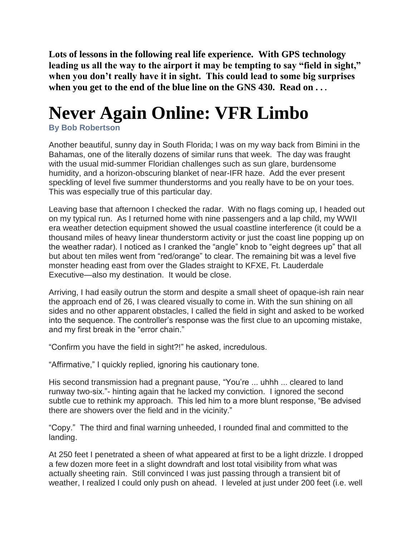**Lots of lessons in the following real life experience. With GPS technology leading us all the way to the airport it may be tempting to say "field in sight," when you don't really have it in sight. This could lead to some big surprises when you get to the end of the blue line on the GNS 430. Read on . . .**

## **Never Again Online: VFR Limbo**

**By Bob Robertson**

Another beautiful, sunny day in South Florida; I was on my way back from Bimini in the Bahamas, one of the literally dozens of similar runs that week. The day was fraught with the usual mid-summer Floridian challenges such as sun glare, burdensome humidity, and a horizon-obscuring blanket of near-IFR haze. Add the ever present speckling of level five summer thunderstorms and you really have to be on your toes. This was especially true of this particular day.

Leaving base that afternoon I checked the radar. With no flags coming up, I headed out on my typical run. As I returned home with nine passengers and a lap child, my WWII era weather detection equipment showed the usual coastline interference (it could be a thousand miles of heavy linear thunderstorm activity or just the coast line popping up on the weather radar). I noticed as I cranked the "angle" knob to "eight degrees up" that all but about ten miles went from "red/orange" to clear. The remaining bit was a level five monster heading east from over the Glades straight to KFXE, Ft. Lauderdale Executive—also my destination. It would be close.

Arriving, I had easily outrun the storm and despite a small sheet of opaque-ish rain near the approach end of 26, I was cleared visually to come in. With the sun shining on all sides and no other apparent obstacles, I called the field in sight and asked to be worked into the sequence. The controller's response was the first clue to an upcoming mistake, and my first break in the "error chain."

"Confirm you have the field in sight?!" he asked, incredulous.

"Affirmative," I quickly replied, ignoring his cautionary tone.

His second transmission had a pregnant pause, "You're ... uhhh ... cleared to land runway two-six."- hinting again that he lacked my conviction. I ignored the second subtle cue to rethink my approach. This led him to a more blunt response, "Be advised there are showers over the field and in the vicinity."

"Copy." The third and final warning unheeded, I rounded final and committed to the landing.

At 250 feet I penetrated a sheen of what appeared at first to be a light drizzle. I dropped a few dozen more feet in a slight downdraft and lost total visibility from what was actually sheeting rain. Still convinced I was just passing through a transient bit of weather, I realized I could only push on ahead. I leveled at just under 200 feet (i.e. well